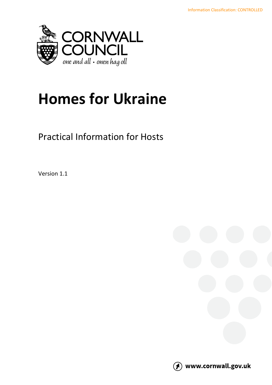

# **Homes for Ukraine**

# Practical Information for Hosts

Version 1.1





(1) www.cornwall.gov.uk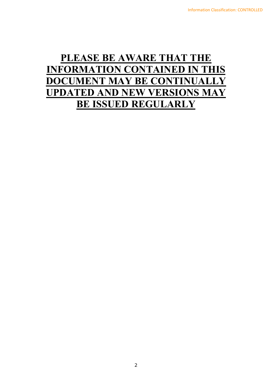# **PLEASE BE AWARE THAT THE INFORMATION CONTAINED IN THIS DOCUMENT MAY BE CONTINUALLY UPDATED AND NEW VERSIONS MAY BE ISSUED REGULARLY**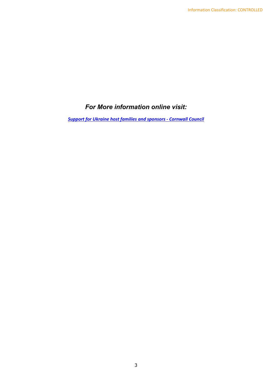# *For More information online visit:*

*[Support for Ukraine host families and sponsors - Cornwall Council](https://www.cornwall.gov.uk/ukrainesponsors)*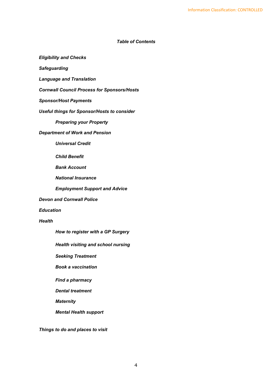#### *Table of Contents*

*Eligibility and Checks* 

*Safeguarding*

*Language and Translation* 

*Cornwall Council Process for Sponsors/Hosts* 

*Sponsor/Host Payments* 

*Useful things for Sponsor/Hosts to consider* 

*Preparing your Property* 

*Department of Work and Pension*

*Universal Credit* 

*Child Benefit*

*Bank Account*

*National Insurance* 

*Employment Support and Advice* 

*Devon and Cornwall Police*

*Education* 

*Health*

*How to register with a GP Surgery* 

*Health visiting and school nursing*

*Seeking Treatment* 

*Book a vaccination* 

*Find a pharmacy*

*Dental treatment* 

*Maternity* 

*Mental Health support* 

*Things to do and places to visit*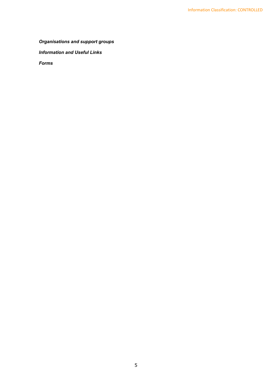*Organisations and support groups* 

*Information and Useful Links*

*Forms*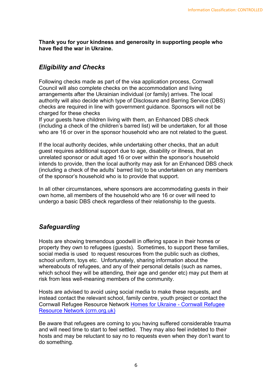**Thank you for your kindness and generosity in supporting people who have fled the war in Ukraine.**

# *Eligibility and Checks*

Following checks made as part of the visa application process, Cornwall Council will also complete checks on the accommodation and living arrangements after the Ukrainian individual (or family) arrives. The local authority will also decide which type of Disclosure and Barring Service (DBS) checks are required in line with government guidance. Sponsors will not be charged for these checks

If your guests have children living with them, an Enhanced DBS check (including a check of the children's barred list) will be undertaken, for all those who are 16 or over in the sponsor household who are not related to the guest.

If the local authority decides, while undertaking other checks, that an adult guest requires additional support due to age, disability or illness, that an unrelated sponsor or adult aged 16 or over within the sponsor's household intends to provide, then the local authority may ask for an Enhanced DBS check (including a check of the adults' barred list) to be undertaken on any members of the sponsor's household who is to provide that support.

In all other circumstances, where sponsors are accommodating guests in their own home, all members of the household who are 16 or over will need to undergo a basic DBS check regardless of their relationship to the guests.

# *Safeguarding*

Hosts are showing tremendous goodwill in offering space in their homes or property they own to refugees (guests). Sometimes, to support these families, social media is used to request resources from the public such as clothes, school uniform, toys etc. Unfortunately, sharing information about the whereabouts of refugees, and any of their personal details (such as names, which school they will be attending, their age and gender etc) may put them at risk from less well-meaning members of the community.

Hosts are advised to avoid using social media to make these requests, and instead contact the relevant school, family centre, youth project or contact the Cornwall Refugee Resource Network [Homes for Ukraine - Cornwall Refugee](https://www.crrn.org.uk/homes-for-ukraine.html)  [Resource Network \(crrn.org.uk\)](https://www.crrn.org.uk/homes-for-ukraine.html)

Be aware that refugees are coming to you having suffered considerable trauma and will need time to start to feel settled. They may also feel indebted to their hosts and may be reluctant to say no to requests even when they don't want to do something.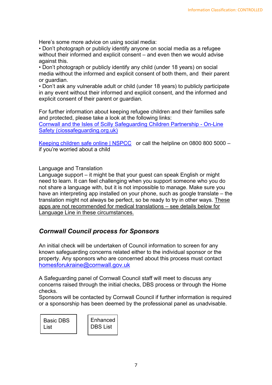Here's some more advice on using social media:

• Don't photograph or publicly identify anyone on social media as a refugee without their informed and explicit consent – and even then we would advise against this.

• Don't photograph or publicly identify any child (under 18 years) on social media without the informed and explicit consent of both them, and their parent or guardian.

• Don't ask any vulnerable adult or child (under 18 years) to publicly participate in any event without their informed and explicit consent, and the informed and explicit consent of their parent or guardian.

For further information about keeping refugee children and their families safe and protected, please take a look at the following links: [Cornwall and the Isles of Scilly Safeguarding Children Partnership - On-Line](https://ciossafeguarding.org.uk/scp/p/parents-and-carers/on-line-safety)  [Safety \(ciossafeguarding.org.uk\)](https://ciossafeguarding.org.uk/scp/p/parents-and-carers/on-line-safety)

[Keeping children safe online | NSPCC](https://www.nspcc.org.uk/keeping-children-safe/online-safety/#guides) or call the helpline on 0800 800 5000 if you're worried about a child

Language and Translation

Language support – it might be that your guest can speak English or might need to learn. It can feel challenging when you support someone who you do not share a language with, but it is not impossible to manage. Make sure you have an interpreting app installed on your phone, such as google translate – the translation might not always be perfect, so be ready to try in other ways. These apps are not recommended for medical translations – see details below for Language Line in these circumstances.

# *Cornwall Council process for Sponsors*

An initial check will be undertaken of Council information to screen for any known safeguarding concerns related either to the individual sponsor or the property. Any sponsors who are concerned about this process must contact [homesforukraine@cornwall.gov.uk](mailto:homesforukraine@cornwall.gov.uk)

A Safeguarding panel of Cornwall Council staff will meet to discuss any concerns raised through the initial checks, DBS process or through the Home checks.

Sponsors will be contacted by Cornwall Council if further information is required or a sponsorship has been deemed by the professional panel as unadvisable.

Basic DBS List Enhanced DBS List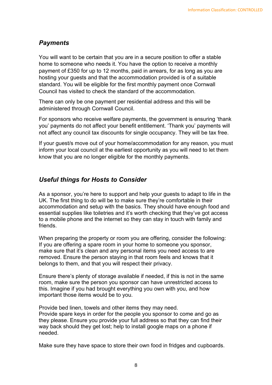# *Payments*

You will want to be certain that you are in a secure position to offer a stable home to someone who needs it. You have the option to receive a monthly payment of £350 for up to 12 months, paid in arrears, for as long as you are hosting your guests and that the accommodation provided is of a suitable standard. You will be eligible for the first monthly payment once Cornwall Council has visited to check the standard of the accommodation.

There can only be one payment per residential address and this will be administered through Cornwall Council.

For sponsors who receive welfare payments, the government is ensuring 'thank you' payments do not affect your benefit entitlement. 'Thank you' payments will not affect any council tax discounts for single occupancy. They will be tax free.

If your guest/s move out of your home/accommodation for any reason, you must inform your local council at the earliest opportunity as you will need to let them know that you are no longer eligible for the monthly payments.

# *Useful things for Hosts to Consider*

As a sponsor, you're here to support and help your guests to adapt to life in the UK. The first thing to do will be to make sure they're comfortable in their accommodation and setup with the basics. They should have enough food and essential supplies like toiletries and it's worth checking that they've got access to a mobile phone and the internet so they can stay in touch with family and friends.

When preparing the property or room you are offering, consider the following: If you are offering a spare room in your home to someone you sponsor, make sure that it's clean and any personal items you need access to are removed. Ensure the person staying in that room feels and knows that it belongs to them, and that you will respect their privacy.

Ensure there's plenty of storage available if needed, if this is not in the same room, make sure the person you sponsor can have unrestricted access to this. Imagine if you had brought everything you own with you, and how important those items would be to you.

Provide bed linen, towels and other items they may need. Provide spare keys in order for the people you sponsor to come and go as they please. Ensure you provide your full address so that they can find their way back should they get lost; help to install google maps on a phone if needed.

Make sure they have space to store their own food in fridges and cupboards.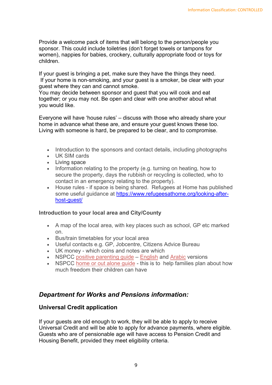Provide a welcome pack of items that will belong to the person/people you sponsor. This could include toiletries (don't forget towels or tampons for women), nappies for babies, crockery, culturally appropriate food or toys for children.

If your guest is bringing a pet, make sure they have the things they need. If your home is non-smoking, and your guest is a smoker, be clear with your guest where they can and cannot smoke.

You may decide between sponsor and guest that you will cook and eat together; or you may not. Be open and clear with one another about what you would like.

Everyone will have 'house rules' – discuss with those who already share your home in advance what these are, and ensure your guest knows these too. Living with someone is hard, be prepared to be clear, and to compromise.

- Introduction to the sponsors and contact details, including photographs
- UK SIM cards
- Living space
- Information relating to the property (e.g. turning on heating, how to secure the property, days the rubbish or recycling is collected, who to contact in an emergency relating to the property).
- House rules if space is being shared. Refugees at Home has published some useful guidance at [https://www.refugeesathome.org/looking-after](https://eur03.safelinks.protection.outlook.com/?url=https%3A%2F%2Fwww.refugeesathome.org%2Flooking-after-host-guest%2F&data=04%7C01%7Cserena.collins%40cornwall.gov.uk%7Ce507fc03ce0b4866c5c008da17ea9146%7Cefaa16aad1de4d58ba2e2833fdfdd29f%7C0%7C0%7C637848594989093375%7CUnknown%7CTWFpbGZsb3d8eyJWIjoiMC4wLjAwMDAiLCJQIjoiV2luMzIiLCJBTiI6Ik1haWwiLCJXVCI6Mn0%3D%7C2000&sdata=1OKGfEXs%2F4HrMyjCoOWE%2FS%2BazxApt48vJWaSW1EQD2s%3D&reserved=0)host-quest/

#### **Introduction to your local area and City/County**

- A map of the local area, with key places such as school, GP etc marked on.
- Bus/train timetables for your local area
- Useful contacts e.g. GP, Jobcentre, Citizens Advice Bureau
- UK money which coins and notes are which
- NSPCC [positive parenting guide](https://eur03.safelinks.protection.outlook.com/?url=https%3A%2F%2Flearning.nspcc.org.uk%2Fresearch-resources%2Fleaflets%2Fpositive-parenting&data=04%7C01%7Cserena.collins%40cornwall.gov.uk%7Ce507fc03ce0b4866c5c008da17ea9146%7Cefaa16aad1de4d58ba2e2833fdfdd29f%7C0%7C0%7C637848594989093375%7CUnknown%7CTWFpbGZsb3d8eyJWIjoiMC4wLjAwMDAiLCJQIjoiV2luMzIiLCJBTiI6Ik1haWwiLCJXVCI6Mn0%3D%7C2000&sdata=6LsVAO2LcS31%2BR%2BddXGsWhHQNbYWkBuRw3cnV3x1PvI%3D&reserved=0) [English](https://eur03.safelinks.protection.outlook.com/?url=https%3A%2F%2Flearning.nspcc.org.uk%2Fmedia%2F1195%2Fpositive-parenting.pdf&data=04%7C01%7Cserena.collins%40cornwall.gov.uk%7Ce507fc03ce0b4866c5c008da17ea9146%7Cefaa16aad1de4d58ba2e2833fdfdd29f%7C0%7C0%7C637848594989093375%7CUnknown%7CTWFpbGZsb3d8eyJWIjoiMC4wLjAwMDAiLCJQIjoiV2luMzIiLCJBTiI6Ik1haWwiLCJXVCI6Mn0%3D%7C2000&sdata=7JEXqsOCLNAf6GW0lW5FngglHLrPaqCbIuJX53Gpr0o%3D&reserved=0) and [Arabic](https://eur03.safelinks.protection.outlook.com/?url=https%3A%2F%2Flearning.nspcc.org.uk%2Fmedia%2F2500%2Fpositive-parenting-arabic.pdf&data=04%7C01%7Cserena.collins%40cornwall.gov.uk%7Ce507fc03ce0b4866c5c008da17ea9146%7Cefaa16aad1de4d58ba2e2833fdfdd29f%7C0%7C0%7C637848594989093375%7CUnknown%7CTWFpbGZsb3d8eyJWIjoiMC4wLjAwMDAiLCJQIjoiV2luMzIiLCJBTiI6Ik1haWwiLCJXVCI6Mn0%3D%7C2000&sdata=F3FqgU6fmIP%2BJzXfwy9BFZfJuBKK2t4dybzw48CUxhE%3D&reserved=0) versions
- NSPCC home or out alone quide this is to help families plan about how much freedom their children can have

### *Department for Works and Pensions information:*

#### **Universal Credit application**

If your guests are old enough to work, they will be able to apply to receive Universal Credit and will be able to apply for advance payments, where eligible. Guests who are of pensionable age will have access to Pension Credit and Housing Benefit, provided they meet eligibility criteria.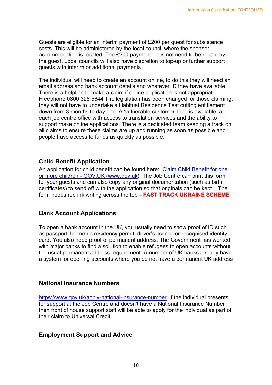Guests are eligible for an interim payment of £200 per guest for subsistence costs. This will be administered by the local council where the sponsor accommodation is located. The £200 payment does not need to be repaid by the guest. Local councils will also have discretion to top-up or further support guests with interim or additional payments.

The individual will need to create an account online, to do this they will need an email address and bank account details and whatever ID they have available. There is a helpline to make a claim if online application is not appropriate. Freephone 0800 328 5644 The legislation has been changed for those claiming; they will not have to undertake a Habitual Residence Test cutting entitlement down from 3 months to day one. A 'vulnerable customer' lead is available at each job centre office with access to translation services and the ability to support make online applications. There is a dedicated team keeping a track on all claims to ensure these claims are up and running as soon as possible and people have access to funds as quickly as possible.

#### **Child Benefit Application**

An application for child benefit can be found here: Claim Child Benefit for one or more children - [GOV.UK \(www.gov.uk\)](https://www.gov.uk/government/publications/child-benefit-claim-form-ch2) The Job Centre can print this form for your guests and can also copy any original documentation (such as birth certificates) to send off with the application so that originals can be kept. The form needs red ink writing across the top – **FAST TRACK UKRAINE SCHEME**

### **Bank Account Applications**

To open a bank account in the UK, you usually need to show proof of ID such as passport, biometric residency permit, driver's licence or recognised identity card. You also need proof of permanent address. The Government has worked with major banks to find a solution to enable refugees to open accounts without the usual permanent address requirement. A number of UK banks already have a system for opening accounts where you do not have a permanent UK address

#### **National Insurance Numbers**

[https://www.gov.uk/apply-national-insurance-number](https://eur03.safelinks.protection.outlook.com/?url=https%3A%2F%2Fwww.gov.uk%2Fapply-national-insurance-number&data=04%7C01%7Cserena.collins%40cornwall.gov.uk%7C196620f46c09416d70e808da1ba1ce27%7Cefaa16aad1de4d58ba2e2833fdfdd29f%7C0%7C0%7C637852679013075654%7CUnknown%7CTWFpbGZsb3d8eyJWIjoiMC4wLjAwMDAiLCJQIjoiV2luMzIiLCJBTiI6Ik1haWwiLCJXVCI6Mn0%3D%7C3000&sdata=Z45Te2SzUTfr13qS3qpr0oXSUk%2BXrJWosA4pF3h33PA%3D&reserved=0) if the individual presents for support at the Job Centre and doesn't have a National Insurance Number then front of house support staff will be able to apply for the individual as part of their claim to Universal Credit

### **Employment Support and Advice**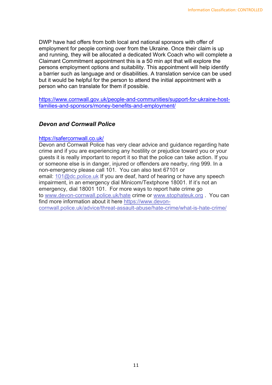DWP have had offers from both local and national sponsors with offer of employment for people coming over from the Ukraine. Once their claim is up and running, they will be allocated a dedicated Work Coach who will complete a Claimant Commitment appointment this is a 50 min apt that will explore the persons employment options and suitability. This appointment will help identify a barrier such as language and or disabilities. A translation service can be used but it would be helpful for the person to attend the initial appointment with a person who can translate for them if possible.

[https://www.cornwall.gov.uk/people-and-communities/support-for-ukraine-host](https://www.cornwall.gov.uk/people-and-communities/support-for-ukraine-host-families-and-sponsors/money-benefits-and-employment/)[families-and-sponsors/money-benefits-and-employment/](https://www.cornwall.gov.uk/people-and-communities/support-for-ukraine-host-families-and-sponsors/money-benefits-and-employment/)

#### *Devon and Cornwall Police*

#### [https://safercornwall.co.uk/](https://eur03.safelinks.protection.outlook.com/?url=https%3A%2F%2Fsafercornwall.co.uk%2F&data=04%7C01%7Cserena.collins%40cornwall.gov.uk%7Cafc8b10cc52d48572fad08da1710aed8%7Cefaa16aad1de4d58ba2e2833fdfdd29f%7C0%7C0%7C637847657675063853%7CUnknown%7CTWFpbGZsb3d8eyJWIjoiMC4wLjAwMDAiLCJQIjoiV2luMzIiLCJBTiI6Ik1haWwiLCJXVCI6Mn0%3D%7C3000&sdata=xMZ65ivQlPWDai1Xq1aOl54%2F5NYLlbWZ2Qt1hg37yGw%3D&reserved=0)

Devon and Cornwall Police has very clear advice and guidance regarding hate crime and if you are experiencing any hostility or prejudice toward you or your guests it is really important to report it so that the police can take action. If you or someone else is in danger, injured or offenders are nearby, ring 999. In a non-emergency please call 101. You can also text 67101 or email: [101@dc.police.uk](mailto:101@dc.police.uk) If you are deaf, hard of hearing or have any speech impairment, in an emergency dial Minicom/Textphone 18001. If it's not an emergency, dial 18001 101. For more ways to report hate crime go to [www.devon-cornwall.police.uk/hate](https://www.devon-cornwall.police.uk/support-and-guidance/threat-assault-abuse/hate-crime/) crime or [www.stophateuk.org](http://www.stophateuk.org/) . You can find more information about it here [https://www.devon](https://www.devon-cornwall.police.uk/advice/threat-assault-abuse/hate-crime/what-is-hate-crime/)[cornwall.police.uk/advice/threat-assault-abuse/hate-crime/what-is-hate-crime/](https://www.devon-cornwall.police.uk/advice/threat-assault-abuse/hate-crime/what-is-hate-crime/)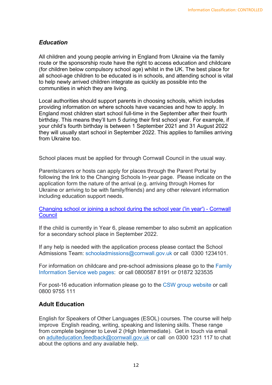# *Education*

All children and young people arriving in England from Ukraine via the family route or the sponsorship route have the right to access education and childcare (for children below compulsory school age) whilst in the UK. The best place for all school-age children to be educated is in schools, and attending school is vital to help newly arrived children integrate as quickly as possible into the communities in which they are living.

Local authorities should support parents in choosing schools, which includes providing information on where schools have vacancies and how to apply. In England most children start school full-time in the September after their fourth birthday. This means they'll turn 5 during their first school year. For example, if your child's fourth birthday is between 1 September 2021 and 31 August 2022 they will usually start school in September 2022. This applies to families arriving from Ukraine too.

School places must be applied for through Cornwall Council in the usual way.

Parents/carers or hosts can apply for places through the Parent Portal by following the link to the Changing Schools In-year page. Please indicate on the application form the nature of the arrival (e.g. arriving through Homes for Ukraine or arriving to be with family/friends) and any other relevant information including education support needs.

[Changing school or joining a school during the school year \('in year'\) -](https://www.cornwall.gov.uk/schools-and-education/schools-and-colleges/school-admissions/changing-school-or-joining-a-school-during-the-school-year-in-year/) Cornwall **[Council](https://www.cornwall.gov.uk/schools-and-education/schools-and-colleges/school-admissions/changing-school-or-joining-a-school-during-the-school-year-in-year/)** 

If the child is currently in Year 6, please remember to also submit an application for a secondary school place in September 2022.

If any help is needed with the application process please contact the School Admissions Team: [schooladmissions@cornwall.gov.uk](mailto:schooladmissions@cornwall.gov.uk) or call 0300 1234101.

For information on childcare and pre-school admissions please go to the [Family](https://www.supportincornwall.org.uk/kb5/cornwall/directory/family.page?familychannel=0)  [Information Service web pages:](https://www.supportincornwall.org.uk/kb5/cornwall/directory/family.page?familychannel=0) or call 0800587 8191 or 01872 323535

For post-16 education information please go to the [CSW group website](https://cswgroup.co.uk/) or call 0800 9755 111

### **Adult Education**

English for Speakers of Other Languages (ESOL) courses. The course will help improve English reading, writing, speaking and listening skills. These range from complete beginner to Level 2 (High Intermediate). Get in touch via email on [adulteducation.feedback@cornwall.gov.uk](mailto:adulteducation.feedback@cornwall.gov.uk) or call on 0300 1231 117 to chat about the options and any available help.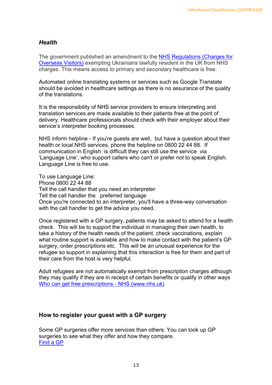#### *Health*

The government published an amendment to the [NHS Regulations \(Charges for](https://eur03.safelinks.protection.outlook.com/?url=https%3A%2F%2Fwww.legislation.gov.uk%2Fuksi%2F2022%2F318%2Fregulation%2F2%2Fmade&data=04%7C01%7CMo.Sadiq%40dhsc.gov.uk%7C86fd30e0a2ec4df23a8308da15712303%7C61278c3091a84c318c1fef4de8973a1c%7C1%7C0%7C637845873937375391%7CUnknown%7CTWFpbGZsb3d8eyJWIjoiMC4wLjAwMDAiLCJQIjoiV2luMzIiLCJBTiI6Ik1haWwiLCJXVCI6Mn0%3D%7C3000&sdata=%2BdGyCqxxJn%2Bwj6cbh6KNLFMrxHZs6gnZ%2BEI4RcgnwfM%3D&reserved=0)  [Overseas Visitors\)](https://eur03.safelinks.protection.outlook.com/?url=https%3A%2F%2Fwww.legislation.gov.uk%2Fuksi%2F2022%2F318%2Fregulation%2F2%2Fmade&data=04%7C01%7CMo.Sadiq%40dhsc.gov.uk%7C86fd30e0a2ec4df23a8308da15712303%7C61278c3091a84c318c1fef4de8973a1c%7C1%7C0%7C637845873937375391%7CUnknown%7CTWFpbGZsb3d8eyJWIjoiMC4wLjAwMDAiLCJQIjoiV2luMzIiLCJBTiI6Ik1haWwiLCJXVCI6Mn0%3D%7C3000&sdata=%2BdGyCqxxJn%2Bwj6cbh6KNLFMrxHZs6gnZ%2BEI4RcgnwfM%3D&reserved=0) exempting Ukrainians lawfully resident in the UK from NHS charges. This means access to primary and secondary healthcare is free.

Automated online translating systems or services such as Google Translate should be avoided in healthcare settings as there is no assurance of the quality of the translations.

It is the responsibility of NHS service providers to ensure interpreting and translation services are made available to their patients free at the point of delivery. Healthcare professionals should check with their employer about their service's interpreter booking processes.

NHS inform helpline - If you're guests are well, but have a question about their health or local NHS services, phone the helpline on 0800 22 44 88. If communication in English is difficult they can still use the service via 'Language Line', who support callers who can't or prefer not to speak English. Language Line is free to use.

To use Language Line: Phone 0800 22 44 88 Tell the call handler that you need an interpreter Tell the call handler the preferred language Once you're connected to an interpreter, you'll have a three-way conversation with the call handler to get the advice you need.

Once registered with a GP surgery, patients may be asked to attend for a health check. This will be to support the individual in managing their own health, to take a history of the health needs of the patient, check vaccinations, explain what routine support is available and how to make contact with the patient's GP surgery, order prescriptions etc. This will be an unusual experience for the refugee so support in explaining that this interaction is free for them and part of their care from the host is very helpful.

Adult refugees are not automatically exempt from prescription charges although they may qualify if they are in receipt of certain benefits or qualify in other ways [Who can get free prescriptions -](https://www.nhs.uk/nhs-services/prescriptions-and-pharmacies/who-can-get-free-prescriptions/) NHS (www.nhs.uk)

#### **How to register your guest with a GP surgery**

Some GP surgeries offer more services than others. You can look up GP surgeries to see what they offer and how they compare. [Find a GP](https://www.nhs.uk/service-search/find-a-gp)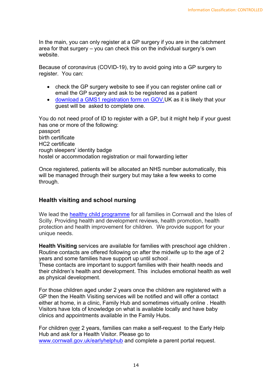In the main, you can only register at a GP surgery if you are in the catchment area for that surgery – you can check this on the individual surgery's own website.

Because of coronavirus (COVID-19), try to avoid going into a GP surgery to register. You can:

- check the GP surgery website to see if you can register online call or email the GP surgery and ask to be registered as a patient
- [download a GMS1 registration form on GOV.U](https://www.gov.uk/government/publications/gms1)K as it is likely that your guest will be asked to complete one.

You do not need proof of ID to register with a GP, but it might help if your guest has one or more of the following: passport birth certificate HC2 certificate rough sleepers' identity badge hostel or accommodation registration or mail forwarding letter

Once registered, patients will be allocated an NHS number automatically, this will be managed through their surgery but may take a few weeks to come through.

#### **Health visiting and school nursing**

We lead the [healthy child programme](https://www.cornwall.gov.uk/health-and-social-care/childrens-services/health-visiting-and-school-nursing/healthy-child-programme/) for all families in Cornwall and the Isles of Scilly. Providing health and development reviews, health promotion, health protection and health improvement for children. We provide support for your unique needs.

**Health Visiting** services are available for families with preschool age children . Routine contacts are offered following on after the midwife up to the age of 2 years and some families have support up until school .

These contacts are important to support families with their health needs and their children's health and development. This includes emotional health as well as physical development.

For those children aged under 2 years once the children are registered with a GP then the Health Visiting services will be notified and will offer a contact either at home, in a clinic, Family Hub and sometimes virtually online . Health Visitors have lots of knowledge on what is available locally and have baby clinics and appointments available in the Family Hubs.

For children over 2 years, families can make a self-request to the Early Help Hub and ask for a Health Visitor. Please go to [www.cornwall.gov.uk/earlyhelphub](http://www.cornwall.gov.uk/earlyhelphub) and complete a parent portal request.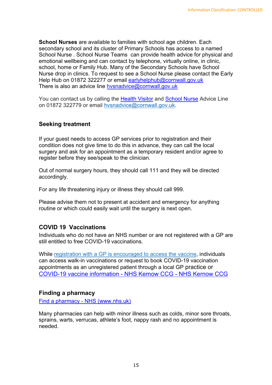**School Nurses** are available to families with school age children. Each secondary school and its cluster of Primary Schools has access to a named School Nurse . School Nurse Teams can provide health advice for physical and emotional wellbeing and can contact by telephone, virtually online, in clinic, school, home or Family Hub. Many of the Secondary Schools have School Nurse drop in clinics. To request to see a School Nurse please contact the Early Help Hub on 01872 322277 or email [earlyhelphub@cornwall.gov.uk](mailto:earlyhelphub@cornwall.gov.uk) There is also an advice line hysnadvice@cornwall.gov.uk

You can contact us by calling the [Health Visitor](https://www.cornwall.gov.uk/health-and-social-care/childrens-services/health-visiting-and-school-nursing/health-visiting/) and [School Nurse](https://www.cornwall.gov.uk/health-and-social-care/childrens-services/health-visiting-and-school-nursing/school-nursing/) Advice Line on 01872 322779 or email [hvsnadvice@cornwall.gov.uk.](mailto:hvsnadvice@cornwall.gov.uk)

#### **Seeking treatment**

If your guest needs to access GP services prior to registration and their condition does not give time to do this in advance, they can call the local surgery and ask for an appointment as a temporary resident and/or agree to register before they see/speak to the clinician.

Out of normal surgery hours, they should call 111 and they will be directed accordingly.

For any life threatening injury or illness they should call 999.

Please advise them not to present at accident and emergency for anything routine or which could easily wait until the surgery is next open.

#### **COVID 19 Vaccinations**

Individuals who do not have an NHS number or are not registered with a GP are still entitled to free COVID-19 vaccinations.

While [registration with a GP is encouraged to access the vaccine,](https://www.gov.uk/guidance/nhs-entitlements-migrant-health-guide#gp-services) individuals can access walk-in vaccinations or request to book COVID-19 vaccination appointments as an unregistered patient through a local GP practice or [COVID-19 vaccine information -](https://www.kernowccg.nhs.uk/your-health/coronavirus/covid-19-vaccine/) NHS Kernow CCG - NHS Kernow CCG

#### **Finding a pharmacy**

Find a pharmacy - [NHS \(www.nhs.uk\)](https://www.nhs.uk/service-search/pharmacy/find-a-pharmacy)

Many pharmacies can help with minor illness such as colds, minor sore throats, sprains, warts, verrucas, athlete's foot, nappy rash and no appointment is needed.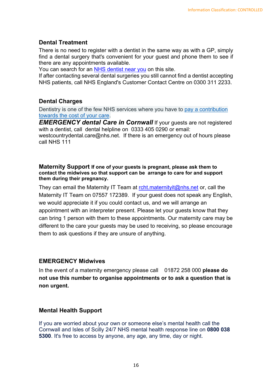### **Dental Treatment**

There is no need to register with a dentist in the same way as with a GP, simply find a dental surgery that's convenient for your guest and phone them to see if there are any appointments available.

You can search for an [NHS dentist near you](https://www.nhs.uk/service-search/find-a-dentist) on this site.

If after contacting several dental surgeries you still cannot find a dentist accepting NHS patients, call NHS England's Customer Contact Centre on 0300 311 2233.

### **Dental Charges**

Dentistry is one of the few NHS services where you have to [pay a contribution](https://www.nhs.uk/nhs-services/help-with-health-costs/when-you-need-to-pay-towards-nhs-care/)  [towards the cost of your care.](https://www.nhs.uk/nhs-services/help-with-health-costs/when-you-need-to-pay-towards-nhs-care/)

*EMERGENCY dental Care in Cornwall* If your guests are not registered with a dentist, call dental helpline on 0333 405 0290 or email: [westcountrydental.care@nhs.net.](mailto:westcountrydental.care@nhs.net) If there is an emergency out of hours please call NHS 111

#### **Maternity Support If one of your guests is pregnant, please ask them to contact the midwives so that support can be arrange to care for and support them during their pregnancy.**

They can email the Maternity IT Team at [rcht.maternityit@nhs.net](mailto:rcht.maternityit@nhs.net?subject=Electronic%20Personal%20Health%20Record%20-%20Access%20Request) or, call the Maternity IT Team on 07557 172389. If your guest does not speak any English, we would appreciate it if you could contact us, and we will arrange an appointment with an interpreter present. Please let your guests know that they can bring 1 person with them to these appointments. Our maternity care may be different to the care your guests may be used to receiving, so please encourage them to ask questions if they are unsure of anything.

### **EMERGENCY Midwives**

In the event of a maternity emergency please call 01872 258 000 **please do not use this number to organise appointments or to ask a question that is non urgent.** 

# **Mental Health Support**

If you are worried about your own or someone else's mental health call the Cornwall and Isles of Scilly 24/7 NHS mental health response line on **0800 038 5300**. It's free to access by anyone, any age, any time, day or night.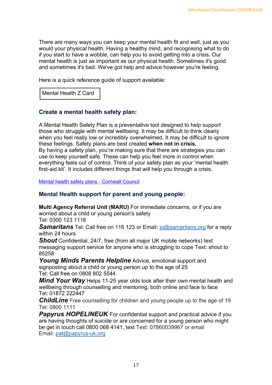There are many ways you can keep your mental health fit and well, just as you would your physical health. Having a healthy mind, and recognising what to do if you start to have a wobble, can help you to avoid getting into a crisis. Our mental health is just as important as our physical health. Sometimes it's good and sometimes it's bad. We've got help and advice however you're feeling.

Here is a quick reference guide of support available:

Mental Health Z Card

#### **Create a mental health safety plan:**

A Mental Health Safety Plan is a preventative tool designed to help support those who struggle with mental wellbeing. It may be difficult to think clearly when you feel really low or incredibly overwhelmed. It may be difficult to ignore these feelings. Safety plans are best created **when not in crisis.** By having a safety plan, you're making sure that there are strategies you can use to keep yourself safe. These can help you feel more in control when everything feels out of control. Think of your safety plan as your 'mental health first-aid kit'. It includes different things that will help you through a crisis.

[Mental health safety plans - Cornwall Council](https://www.cornwall.gov.uk/health-and-social-care/mental-health/mental-health-safety-plans/)

#### **Mental Health support for parent and young people:**

**Multi Agency Referral Unit (MARU)** For immediate concerns, or if you are worried about a child or young person's safety

Tel: 0300 123 1116

**[Samaritans](http://www.samaritians.org/)** Tel: Call free on 116 123 or Email: [jo@samaritans.org](mailto:jo@samaritans.org) for a reply within 24 hours

*[Shout](http://www.giveusashout.org/)* Confidential, 24/7, free (from all major UK mobile networks) text messaging support service for anyone who is struggling to cope Text: shout to 85258

*[Young Minds Parents Helpline](https://youngminds.org.uk/find-help/for-parents/parents-helpline/)* Advice, emotional support and signposting about a child or young person up to the age of 25 Tel: Call free on 0808 802 5544

*[Mind Your Way](https://mindyourway.co.uk/)* Helps 11-25 year olds look after their own mental health and wellbeing through counselling and mentoring, both online and face to face Tel: 01872 222447

**[ChildLine](http://www.childline.org.uk/)** Free counselling for children and young people up to the age of 19 Tel: 0800 1111

**Papyrus [HOPELINEUK](https://www.papyrus-uk.org/)** For confidential support and practical advice if you are having thoughts of suicide or are concerned for a young person who might be get in touch call 0800 068 4141, text Text: 07860039967 or email Email: [pat@papyrus-uk.org](mailto:pat@papyrus-uk.org)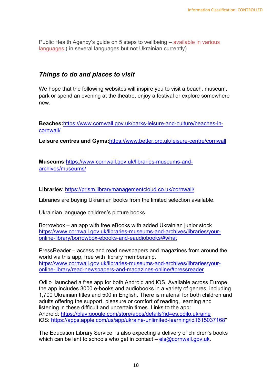Public Health Agency's guide on 5 steps to wellbeing – [available in various](https://eur03.safelinks.protection.outlook.com/?url=https%3A%2F%2Fwww.publichealth.hscni.net%2Fpublications%2Ftake-5-steps-wellbeing-english-and-11-translations&data=04%7C01%7Cserena.collins%40cornwall.gov.uk%7Ce507fc03ce0b4866c5c008da17ea9146%7Cefaa16aad1de4d58ba2e2833fdfdd29f%7C0%7C0%7C637848594989093375%7CUnknown%7CTWFpbGZsb3d8eyJWIjoiMC4wLjAwMDAiLCJQIjoiV2luMzIiLCJBTiI6Ik1haWwiLCJXVCI6Mn0%3D%7C2000&sdata=jQAUI0J0UXGvSy1aNDQPqFvNXVdBYv1YMKm1%2B3GVGDo%3D&reserved=0)  [languages](https://eur03.safelinks.protection.outlook.com/?url=https%3A%2F%2Fwww.publichealth.hscni.net%2Fpublications%2Ftake-5-steps-wellbeing-english-and-11-translations&data=04%7C01%7Cserena.collins%40cornwall.gov.uk%7Ce507fc03ce0b4866c5c008da17ea9146%7Cefaa16aad1de4d58ba2e2833fdfdd29f%7C0%7C0%7C637848594989093375%7CUnknown%7CTWFpbGZsb3d8eyJWIjoiMC4wLjAwMDAiLCJQIjoiV2luMzIiLCJBTiI6Ik1haWwiLCJXVCI6Mn0%3D%7C2000&sdata=jQAUI0J0UXGvSy1aNDQPqFvNXVdBYv1YMKm1%2B3GVGDo%3D&reserved=0) ( in several languages but not Ukrainian currently)

# *Things to do and places to visit*

We hope that the following websites will inspire you to visit a beach, museum, park or spend an evening at the theatre, enjoy a festival or explore somewhere new.

**Beaches:**[https://www.cornwall.gov.uk/parks-leisure-and-culture/beaches-in](https://www.cornwall.gov.uk/parks-leisure-and-culture/beaches-in-cornwall/)[cornwall/](https://www.cornwall.gov.uk/parks-leisure-and-culture/beaches-in-cornwall/)

**Leisure centres and Gyms:**<https://www.better.org.uk/leisure-centre/cornwall>

**Museums:**[https://www.cornwall.gov.uk/libraries-museums-and](https://www.cornwall.gov.uk/libraries-museums-and-archives/museums/)[archives/museums/](https://www.cornwall.gov.uk/libraries-museums-and-archives/museums/)

**Libraries**:<https://prism.librarymanagementcloud.co.uk/cornwall/>

Libraries are buying Ukrainian books from the limited selection available.

Ukrainian language children's picture books

Borrowbox – an app with free eBooks with added Ukrainian junior stock [https://www.cornwall.gov.uk/libraries-museums-and-archives/libraries/your](https://www.cornwall.gov.uk/libraries-museums-and-archives/libraries/your-online-library/borrowbox-ebooks-and-eaudiobooks/#what)[online-library/borrowbox-ebooks-and-eaudiobooks/#what](https://www.cornwall.gov.uk/libraries-museums-and-archives/libraries/your-online-library/borrowbox-ebooks-and-eaudiobooks/#what)

PressReader – access and read newspapers and magazines from around the world via this app, free with library membership. [https://www.cornwall.gov.uk/libraries-museums-and-archives/libraries/your](https://www.cornwall.gov.uk/libraries-museums-and-archives/libraries/your-online-library/read-newspapers-and-magazines-online/#pressreader)[online-library/read-newspapers-and-magazines-online/#pressreader](https://www.cornwall.gov.uk/libraries-museums-and-archives/libraries/your-online-library/read-newspapers-and-magazines-online/#pressreader)

Odilo launched a free app for both Android and iOS. Available across Europe, the app includes 3000 e-books and audiobooks in a variety of genres, including 1,700 Ukrainian titles and 500 in English. There is material for both children and adults offering the support, pleasure or comfort of reading, learning and listening in these difficult and uncertain times. Links to the app: Android: [https://play.google.com/store/apps/details?id=es.odilo.ukraine](https://eur03.safelinks.protection.outlook.com/?url=https%3A%2F%2Fplay.google.com%2Fstore%2Fapps%2Fdetails%3Fid%3Des.odilo.ukraine&data=04%7C01%7Cpaul.evered%40cornwall.gov.uk%7Cdf37c61535ae4507f62d08da2141fa42%7Cefaa16aad1de4d58ba2e2833fdfdd29f%7C0%7C0%7C637858864505814157%7CUnknown%7CTWFpbGZsb3d8eyJWIjoiMC4wLjAwMDAiLCJQIjoiV2luMzIiLCJBTiI6Ik1haWwiLCJXVCI6Mn0%3D%7C3000&sdata=aIQzE2XBEOtO%2F6s4PrDOHFD%2FCmOSigYzfd2x%2BRfXkXI%3D&reserved=0) iOS: [https://apps.apple.com/us/app/ukraine-unlimited-learning/id1615037168"](https://eur03.safelinks.protection.outlook.com/?url=https%3A%2F%2Fapps.apple.com%2Fus%2Fapp%2Fukraine-unlimited-learning%2Fid1615037168&data=04%7C01%7Cpaul.evered%40cornwall.gov.uk%7Cdf37c61535ae4507f62d08da2141fa42%7Cefaa16aad1de4d58ba2e2833fdfdd29f%7C0%7C0%7C637858864505814157%7CUnknown%7CTWFpbGZsb3d8eyJWIjoiMC4wLjAwMDAiLCJQIjoiV2luMzIiLCJBTiI6Ik1haWwiLCJXVCI6Mn0%3D%7C3000&sdata=NrkEnYAgjdkWwASM22PElhHgcy0jzSd90haUrOycLEU%3D&reserved=0)

The Education Library Service is also expecting a delivery of children's books which can be lent to schools who get in contact –  $e$ ls@cornwall.gov.uk.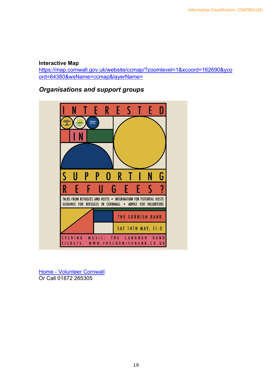#### **Interactive Map**

[https://map.cornwall.gov.uk/website/ccmap/?zoomlevel=1&xcoord=162690&yco](https://map.cornwall.gov.uk/website/ccmap/?zoomlevel=1&xcoord=162690&ycoord=64380&wsName=ccmap&layerName=) [ord=64380&wsName=ccmap&layerName=](https://map.cornwall.gov.uk/website/ccmap/?zoomlevel=1&xcoord=162690&ycoord=64380&wsName=ccmap&layerName=)

# *Organisations and support groups*



[Home - Volunteer Cornwall](https://www.volunteercornwall.org.uk/) Or Call 01872 265305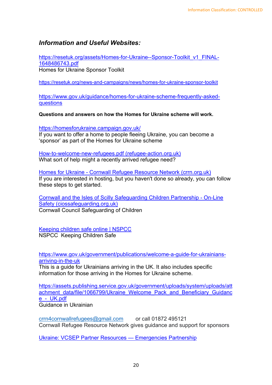# *Information and Useful Websites:*

[https://resetuk.org/assets/Homes-for-Ukraine--Sponsor-Toolkit\\_v1\\_FINAL-](https://resetuk.org/assets/Homes-for-Ukraine--Sponsor-Toolkit_v1_FINAL-1648486743.pdf)[1648486743.pdf](https://resetuk.org/assets/Homes-for-Ukraine--Sponsor-Toolkit_v1_FINAL-1648486743.pdf) Homes for Ukraine Sponsor Toolkit

[https://resetuk.org/news-and-campaigns/news/homes-for-ukraine-sponsor-toolkit](https://eur03.safelinks.protection.outlook.com/?url=https%3A%2F%2Fresetuk.org%2Fnews-and-campaigns%2Fnews%2Fhomes-for-ukraine-sponsor-toolkit&data=04%7C01%7Cserena.collins%40cornwall.gov.uk%7Ce507fc03ce0b4866c5c008da17ea9146%7Cefaa16aad1de4d58ba2e2833fdfdd29f%7C0%7C0%7C637848594989093375%7CUnknown%7CTWFpbGZsb3d8eyJWIjoiMC4wLjAwMDAiLCJQIjoiV2luMzIiLCJBTiI6Ik1haWwiLCJXVCI6Mn0%3D%7C2000&sdata=O7dC896qB%2FynK33hxggVP8BP7Db%2F11C%2FzGImGTkX8rg%3D&reserved=0)

[https://www.gov.uk/guidance/homes-for-ukraine-scheme-frequently-asked](https://www.gov.uk/guidance/homes-for-ukraine-scheme-frequently-asked-questions)[questions](https://www.gov.uk/guidance/homes-for-ukraine-scheme-frequently-asked-questions) 

#### **Questions and answers on how the Homes for Ukraine scheme will work.**

[https://homesforukraine.campaign.gov.uk/](https://eur03.safelinks.protection.outlook.com/?url=https%3A%2F%2Fhomesforukraine.campaign.gov.uk%2F&data=04%7C01%7Ckate.kennally%40cornwall.gov.uk%7Cd9315db015ff48e92ba708da18b3ffc1%7Cefaa16aad1de4d58ba2e2833fdfdd29f%7C0%7C0%7C637849459352595145%7CUnknown%7CTWFpbGZsb3d8eyJWIjoiMC4wLjAwMDAiLCJQIjoiV2luMzIiLCJBTiI6Ik1haWwiLCJXVCI6Mn0%3D%7C3000&sdata=s4sWM1F9fNMUGtQclq2a0B7PG9uOJ0C3ZBvSeVrJAmk%3D&reserved=0)  If you want to offer a home to people fleeing Ukraine, you can become a 'sponsor' as part of the Homes for Ukraine scheme

[How-to-welcome-new-refugees.pdf \(refugee-action.org.uk\)](https://www.refugee-action.org.uk/wp-content/uploads/2016/10/How-to-welcome-new-refugees.pdf) What sort of help might a recently arrived refugee need?

[Homes for Ukraine - Cornwall Refugee Resource Network \(crrn.org.uk\)](https://www.crrn.org.uk/homes-for-ukraine.html) If you are interested in hosting, but you haven't done so already, you can follow these steps to get started.

[Cornwall and the Isles of Scilly Safeguarding Children Partnership - On-Line](https://ciossafeguarding.org.uk/scp/p/parents-and-carers/on-line-safety)  [Safety \(ciossafeguarding.org.uk\)](https://ciossafeguarding.org.uk/scp/p/parents-and-carers/on-line-safety) Cornwall Council Safeguarding of Children

[Keeping children safe online | NSPCC](https://www.nspcc.org.uk/keeping-children-safe/online-safety/#guides) NSPCC Keeping Children Safe

[https://www.gov.uk/government/publications/welcome-a-guide-for-ukrainians](https://www.gov.uk/government/publications/welcome-a-guide-for-ukrainians-arriving-in-the-uk)[arriving-in-the-uk](https://www.gov.uk/government/publications/welcome-a-guide-for-ukrainians-arriving-in-the-uk) 

This is a guide for Ukrainians arriving in the UK. It also includes specific information for those arriving in the Homes for Ukraine scheme.

[https://assets.publishing.service.gov.uk/government/uploads/system/uploads/att](https://eur03.safelinks.protection.outlook.com/?url=https%3A%2F%2Fassets.publishing.service.gov.uk%2Fgovernment%2Fuploads%2Fsystem%2Fuploads%2Fattachment_data%2Ffile%2F1066799%2FUkraine_Welcome_Pack_and_Beneficiary_Guidance_-_UK.pdf&data=04%7C01%7Ckate.kennally%40cornwall.gov.uk%7Cd9315db015ff48e92ba708da18b3ffc1%7Cefaa16aad1de4d58ba2e2833fdfdd29f%7C0%7C0%7C637849459352595145%7CUnknown%7CTWFpbGZsb3d8eyJWIjoiMC4wLjAwMDAiLCJQIjoiV2luMzIiLCJBTiI6Ik1haWwiLCJXVCI6Mn0%3D%7C3000&sdata=%2FRL7i%2FOKXw8sN3JHIho9oi%2F9hfvYgooQ%2BMH1rmVK6JU%3D&reserved=0) achment data/file/1066799/Ukraine Welcome Pack and Beneficiary Guidanc [e\\_-\\_UK.pdf](https://eur03.safelinks.protection.outlook.com/?url=https%3A%2F%2Fassets.publishing.service.gov.uk%2Fgovernment%2Fuploads%2Fsystem%2Fuploads%2Fattachment_data%2Ffile%2F1066799%2FUkraine_Welcome_Pack_and_Beneficiary_Guidance_-_UK.pdf&data=04%7C01%7Ckate.kennally%40cornwall.gov.uk%7Cd9315db015ff48e92ba708da18b3ffc1%7Cefaa16aad1de4d58ba2e2833fdfdd29f%7C0%7C0%7C637849459352595145%7CUnknown%7CTWFpbGZsb3d8eyJWIjoiMC4wLjAwMDAiLCJQIjoiV2luMzIiLCJBTiI6Ik1haWwiLCJXVCI6Mn0%3D%7C3000&sdata=%2FRL7i%2FOKXw8sN3JHIho9oi%2F9hfvYgooQ%2BMH1rmVK6JU%3D&reserved=0)  Guidance in Ukrainian

[crrn4cornwallrefugees@gmail.com](mailto:crrn4cornwallrefugees@gmail.com) or call 01872 495121 Cornwall Refugee Resource Network gives guidance and support for sponsors

[Ukraine: VCSEP Partner Resources — Emergencies Partnership](https://vcsep.org.uk/ukraine)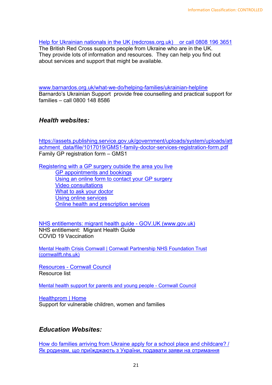[Help for Ukrainian nationals in the UK \(redcross.org.uk\)](https://www.redcross.org.uk/get-help/get-help-as-a-refugee/help-for-refugees-from-ukraine) or call 0808 196 3651 The British Red Cross supports people from Ukraine who are in the UK. They provide lots of information and resources. They can help you find out about services and support that might be available.

[www.barnardos.org.uk/what-we-do/helping-families/ukrainian-helpline](http://www.barnardos.org.uk/what-we-do/helping-families/ukrainian-helpline) Barnardo's Ukrainian Support provide free counselling and practical support for families – call 0800 148 8586

#### *Health websites:*

[https://assets.publishing.service.gov.uk/government/uploads/system/uploads/att](https://assets.publishing.service.gov.uk/government/uploads/system/uploads/attachment_data/file/1017019/GMS1-family-doctor-services-registration-form.pdf) [achment\\_data/file/1017019/GMS1-family-doctor-services-registration-form.pdf](https://assets.publishing.service.gov.uk/government/uploads/system/uploads/attachment_data/file/1017019/GMS1-family-doctor-services-registration-form.pdf) Family GP registration form – GMS1

[Registering with a GP surgery outside the area you live](https://www.nhs.uk/nhs-services/gps/registering-with-a-gp-outside-your-area/) [GP appointments and bookings](https://www.nhs.uk/nhs-services/gps/gp-appointments-and-bookings/) [Using an online form to contact your GP surgery](https://www.nhs.uk/nhs-services/gps/using-an-online-form-to-contact-your-gp-surgery/) [Video consultations](https://www.nhs.uk/nhs-services/gps/video-consultations/) [What to ask your doctor](https://www.nhs.uk/nhs-services/gps/what-to-ask-your-doctor/) [Using online services](https://www.nhs.uk/nhs-services/gps/using-online-services/) [Online health and prescription services](https://www.nhs.uk/nhs-services/gps/online-health-and-prescription-services/)

NHS entitlements: migrant health guide - GOV.UK (www.gov.uk) NHS entitlement: Migrant Health Guide COVID 19 Vaccination

[Mental Health Crisis Cornwall | Cornwall Partnership NHS Foundation Trust](https://www.cornwallft.nhs.uk/mental-health-crisis-cornwall)  [\(cornwallft.nhs.uk\)](https://www.cornwallft.nhs.uk/mental-health-crisis-cornwall)

[Resources - Cornwall Council](https://www.cornwall.gov.uk/health-and-social-care/mental-health/resources/) Resource list

[Mental health support for parents and young people - Cornwall Council](https://www.cornwall.gov.uk/health-and-social-care/mental-health/mental-health-support-for-parents-and-young-people/)

[Healthprom | Home](https://www.healthprom.org/) Support for vulnerable children, women and families

### *Education Websites:*

[How do families arriving from Ukraine apply for a school place and childcare? /](https://educationhub.blog.gov.uk/2022/04/11/how-do-families-arriving-from-ukraine-apply-for-a-school-place-and-childcare-%d1%8f%d0%ba-%d1%80%d0%be%d0%b4%d0%b8%d0%bd%d0%b0%d0%bc-%d1%89%d0%be-%d0%bf%d1%80%d0%b8%d1%97%d0%b6%d0%b4%d0%b6%d0%b0/)  [Як родинам, що приїжджають з України, подавати заяви на отримання](https://educationhub.blog.gov.uk/2022/04/11/how-do-families-arriving-from-ukraine-apply-for-a-school-place-and-childcare-%d1%8f%d0%ba-%d1%80%d0%be%d0%b4%d0%b8%d0%bd%d0%b0%d0%bc-%d1%89%d0%be-%d0%bf%d1%80%d0%b8%d1%97%d0%b6%d0%b4%d0%b6%d0%b0/)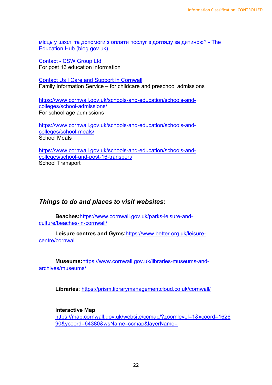[місць у школі та допомоги з оплати послуг з догляду за дитиною?](https://educationhub.blog.gov.uk/2022/04/11/how-do-families-arriving-from-ukraine-apply-for-a-school-place-and-childcare-%d1%8f%d0%ba-%d1%80%d0%be%d0%b4%d0%b8%d0%bd%d0%b0%d0%bc-%d1%89%d0%be-%d0%bf%d1%80%d0%b8%d1%97%d0%b6%d0%b4%d0%b6%d0%b0/) - The [Education Hub \(blog.gov.uk\)](https://educationhub.blog.gov.uk/2022/04/11/how-do-families-arriving-from-ukraine-apply-for-a-school-place-and-childcare-%d1%8f%d0%ba-%d1%80%d0%be%d0%b4%d0%b8%d0%bd%d0%b0%d0%bc-%d1%89%d0%be-%d0%bf%d1%80%d0%b8%d1%97%d0%b6%d0%b4%d0%b6%d0%b0/)

[Contact - CSW Group Ltd.](https://cswgroup.co.uk/contact/) For post 16 education information

[Contact Us | Care and Support in Cornwall](https://www.supportincornwall.org.uk/kb5/cornwall/directory/contact.page) Family Information Service – for childcare and preschool admissions

[https://www.cornwall.gov.uk/schools-and-education/schools-and](https://www.cornwall.gov.uk/schools-and-education/schools-and-colleges/school-admissions/)[colleges/school-admissions/](https://www.cornwall.gov.uk/schools-and-education/schools-and-colleges/school-admissions/) For school age admissions

[https://www.cornwall.gov.uk/schools-and-education/schools-and](https://www.cornwall.gov.uk/schools-and-education/schools-and-colleges/school-meals/)[colleges/school-meals/](https://www.cornwall.gov.uk/schools-and-education/schools-and-colleges/school-meals/) School Meals

[https://www.cornwall.gov.uk/schools-and-education/schools-and](https://www.cornwall.gov.uk/schools-and-education/schools-and-colleges/school-and-post-16-transport/)[colleges/school-and-post-16-transport/](https://www.cornwall.gov.uk/schools-and-education/schools-and-colleges/school-and-post-16-transport/) School Transport

# *Things to do and places to visit websites:*

**Beaches:**[https://www.cornwall.gov.uk/parks-leisure-and](https://www.cornwall.gov.uk/parks-leisure-and-culture/beaches-in-cornwall/)[culture/beaches-in-cornwall/](https://www.cornwall.gov.uk/parks-leisure-and-culture/beaches-in-cornwall/)

**Leisure centres and Gyms:**[https://www.better.org.uk/leisure](https://www.better.org.uk/leisure-centre/cornwall)[centre/cornwall](https://www.better.org.uk/leisure-centre/cornwall)

**Museums:**[https://www.cornwall.gov.uk/libraries-museums-and](https://www.cornwall.gov.uk/libraries-museums-and-archives/museums/)[archives/museums/](https://www.cornwall.gov.uk/libraries-museums-and-archives/museums/)

**Libraries**:<https://prism.librarymanagementcloud.co.uk/cornwall/>

**Interactive Map** 

[https://map.cornwall.gov.uk/website/ccmap/?zoomlevel=1&xcoord=1626](https://map.cornwall.gov.uk/website/ccmap/?zoomlevel=1&xcoord=162690&ycoord=64380&wsName=ccmap&layerName=) [90&ycoord=64380&wsName=ccmap&layerName=](https://map.cornwall.gov.uk/website/ccmap/?zoomlevel=1&xcoord=162690&ycoord=64380&wsName=ccmap&layerName=)